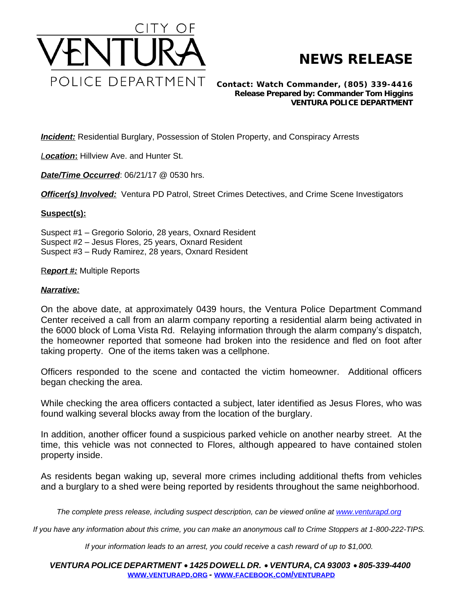

## **NEWS RELEASE**

*Contact: Watch Commander, (805) 339-4416 Release Prepared by: Commander Tom Higgins* **VENTURA POLICE DEPARTMENT**

**Incident:** Residential Burglary, Possession of Stolen Property, and Conspiracy Arrests

*Location***:** Hillview Ave. and Hunter St.

*Date/Time Occurred: 06/21/17 @ 0530 hrs.* 

*Officer(s) Involved:* Ventura PD Patrol, Street Crimes Detectives, and Crime Scene Investigators

## **Suspect(s):**

Suspect #1 – Gregorio Solorio, 28 years, Oxnard Resident Suspect #2 – Jesus Flores, 25 years, Oxnard Resident Suspect #3 – Rudy Ramirez, 28 years, Oxnard Resident

## R*eport #:* Multiple Reports

## *Narrative:*

On the above date, at approximately 0439 hours, the Ventura Police Department Command Center received a call from an alarm company reporting a residential alarm being activated in the 6000 block of Loma Vista Rd. Relaying information through the alarm company's dispatch, the homeowner reported that someone had broken into the residence and fled on foot after taking property. One of the items taken was a cellphone.

Officers responded to the scene and contacted the victim homeowner. Additional officers began checking the area.

While checking the area officers contacted a subject, later identified as Jesus Flores, who was found walking several blocks away from the location of the burglary.

In addition, another officer found a suspicious parked vehicle on another nearby street. At the time, this vehicle was not connected to Flores, although appeared to have contained stolen property inside.

As residents began waking up, several more crimes including additional thefts from vehicles and a burglary to a shed were being reported by residents throughout the same neighborhood.

The complete press release, including suspect description, can be viewed online at [www.venturapd.org](http://www.venturapd.org)

*If you have any information about this crime, you can make an anonymous call to Crime Stoppers at 1-800-222-TIPS.*

*If your information leads to an arrest, you could receive a cash reward of up to \$1,000.*

*VENTURA POLICE DEPARTMENT* · *1425 DOWELL DR.* · *VENTURA, CA 93003* · *805-339-4400* **WWW.[VENTURAPD](http://www.venturapd.org).ORG** *-* **WWW.FACEBOOK.COM/[VENTURAPD](http://www.facebook.com/venturapd)**